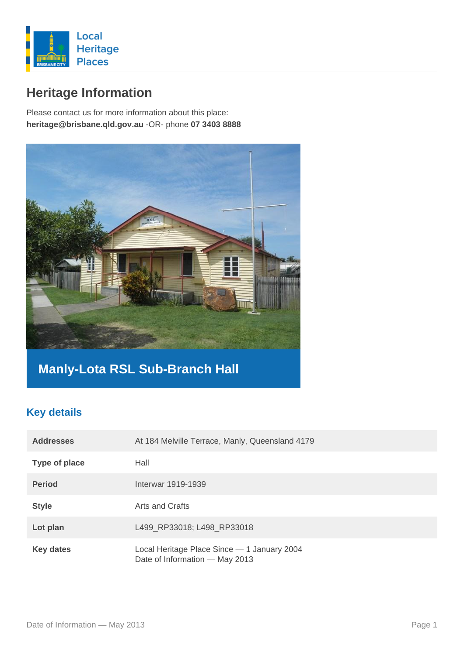

# **Heritage Information**

Please contact us for more information about this place: **heritage@brisbane.qld.gov.au** -OR- phone **07 3403 8888**



## **Manly-Lota RSL Sub-Branch Hall**

#### **Key details**

| <b>Addresses</b> | At 184 Melville Terrace, Manly, Queensland 4179                               |
|------------------|-------------------------------------------------------------------------------|
| Type of place    | Hall                                                                          |
| <b>Period</b>    | Interwar 1919-1939                                                            |
| <b>Style</b>     | Arts and Crafts                                                               |
| Lot plan         | L499_RP33018; L498_RP33018                                                    |
| <b>Key dates</b> | Local Heritage Place Since - 1 January 2004<br>Date of Information - May 2013 |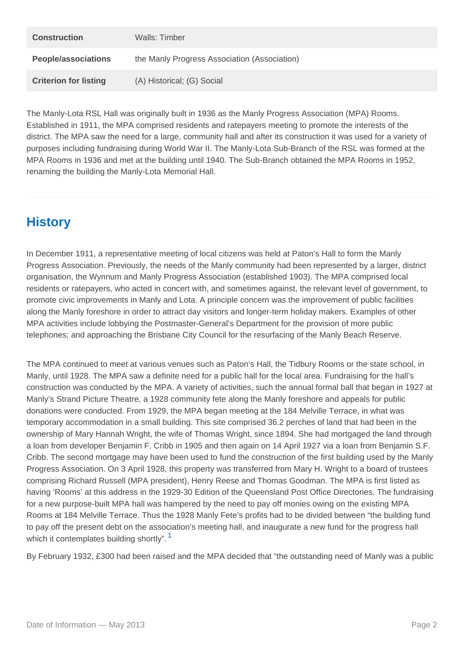| Construction          | Walls: Timber                                |
|-----------------------|----------------------------------------------|
| People/associations   | the Manly Progress Association (Association) |
| Criterion for listing | (A) Historical; (G) Social                   |

The Manly-Lota RSL Hall was originally built in 1936 as the Manly Progress Association (MPA) Rooms. Established in 1911, the MPA comprised residents and ratepayers meeting to promote the interests of the district. The MPA saw the need for a large, community hall and after its construction it was used for a variety of purposes including fundraising during World War II. The Manly-Lota Sub-Branch of the RSL was formed at the MPA Rooms in 1936 and met at the building until 1940. The Sub-Branch obtained the MPA Rooms in 1952, renaming the building the Manly-Lota Memorial Hall.

# **History**

In December 1911, a representative meeting of local citizens was held at Paton's Hall to form the Manly Progress Association. Previously, the needs of the Manly community had been represented by a larger, district organisation, the Wynnum and Manly Progress Association (established 1903). The MPA comprised local residents or ratepayers, who acted in concert with, and sometimes against, the relevant level of government, to promote civic improvements in Manly and Lota. A principle concern was the improvement of public facilities along the Manly foreshore in order to attract day visitors and longer-term holiday makers. Examples of other MPA activities include lobbying the Postmaster-General's Department for the provision of more public telephones; and approaching the Brisbane City Council for the resurfacing of the Manly Beach Reserve.

The MPA continued to meet at various venues such as Paton's Hall, the Tidbury Rooms or the state school, in Manly, until 1928. The MPA saw a definite need for a public hall for the local area. Fundraising for the hall's construction was conducted by the MPA. A variety of activities, such the annual formal ball that began in 1927 at Manly's Strand Picture Theatre, a 1928 community fete along the Manly foreshore and appeals for public donations were conducted. From 1929, the MPA began meeting at the 184 Melville Terrace, in what was temporary accommodation in a small building. This site comprised 36.2 perches of land that had been in the ownership of Mary Hannah Wright, the wife of Thomas Wright, since 1894. She had mortgaged the land through a loan from developer Benjamin F. Cribb in 1905 and then again on 14 April 1927 via a loan from Benjamin S.F. Cribb. The second mortgage may have been used to fund the construction of the first building used by the Manly Progress Association. On 3 April 1928, this property was transferred from Mary H. Wright to a board of trustees comprising Richard Russell (MPA president), Henry Reese and Thomas Goodman. The MPA is first listed as having 'Rooms' at this address in the 1929-30 Edition of the Queensland Post Office Directories. The fundraising for a new purpose-built MPA hall was hampered by the need to pay off monies owing on the existing MPA Rooms at 184 Melville Terrace. Thus the 1928 Manly Fete's profits had to be divided between "the building fund to pay off the present debt on the association's meeting hall, and inaugurate a new fund for the progress hall which it contemplates building shortly".<sup>1</sup>

By February 1932, £300 had been raised and the MPA decided that "the outstanding need of Manly was a public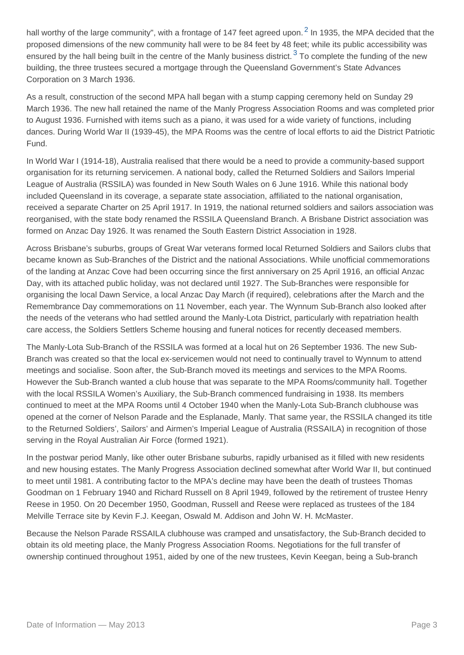hall worthy of the large community", with a frontage of 147 feet agreed upon.  $^2$  In 1935, the MPA decided that the proposed dimensions of the new community hall were to be 84 feet by 48 feet; while its public accessibility was ensured by the hall being built in the centre of the Manly business district.  $3$  To complete the funding of the new building, the three trustees secured a mortgage through the Queensland Government's State Advances Corporation on 3 March 1936.

As a result, construction of the second MPA hall began with a stump capping ceremony held on Sunday 29 March 1936. The new hall retained the name of the Manly Progress Association Rooms and was completed prior to August 1936. Furnished with items such as a piano, it was used for a wide variety of functions, including dances. During World War II (1939-45), the MPA Rooms was the centre of local efforts to aid the District Patriotic Fund.

In World War I (1914-18), Australia realised that there would be a need to provide a community-based support organisation for its returning servicemen. A national body, called the Returned Soldiers and Sailors Imperial League of Australia (RSSILA) was founded in New South Wales on 6 June 1916. While this national body included Queensland in its coverage, a separate state association, affiliated to the national organisation, received a separate Charter on 25 April 1917. In 1919, the national returned soldiers and sailors association was reorganised, with the state body renamed the RSSILA Queensland Branch. A Brisbane District association was formed on Anzac Day 1926. It was renamed the South Eastern District Association in 1928.

Across Brisbane's suburbs, groups of Great War veterans formed local Returned Soldiers and Sailors clubs that became known as Sub-Branches of the District and the national Associations. While unofficial commemorations of the landing at Anzac Cove had been occurring since the first anniversary on 25 April 1916, an official Anzac Day, with its attached public holiday, was not declared until 1927. The Sub-Branches were responsible for organising the local Dawn Service, a local Anzac Day March (if required), celebrations after the March and the Remembrance Day commemorations on 11 November, each year. The Wynnum Sub-Branch also looked after the needs of the veterans who had settled around the Manly-Lota District, particularly with repatriation health care access, the Soldiers Settlers Scheme housing and funeral notices for recently deceased members.

The Manly-Lota Sub-Branch of the RSSILA was formed at a local hut on 26 September 1936. The new Sub-Branch was created so that the local ex-servicemen would not need to continually travel to Wynnum to attend meetings and socialise. Soon after, the Sub-Branch moved its meetings and services to the MPA Rooms. However the Sub-Branch wanted a club house that was separate to the MPA Rooms/community hall. Together with the local RSSILA Women's Auxiliary, the Sub-Branch commenced fundraising in 1938. Its members continued to meet at the MPA Rooms until 4 October 1940 when the Manly-Lota Sub-Branch clubhouse was opened at the corner of Nelson Parade and the Esplanade, Manly. That same year, the RSSILA changed its title to the Returned Soldiers', Sailors' and Airmen's Imperial League of Australia (RSSAILA) in recognition of those serving in the Royal Australian Air Force (formed 1921).

In the postwar period Manly, like other outer Brisbane suburbs, rapidly urbanised as it filled with new residents and new housing estates. The Manly Progress Association declined somewhat after World War II, but continued to meet until 1981. A contributing factor to the MPA's decline may have been the death of trustees Thomas Goodman on 1 February 1940 and Richard Russell on 8 April 1949, followed by the retirement of trustee Henry Reese in 1950. On 20 December 1950, Goodman, Russell and Reese were replaced as trustees of the 184 Melville Terrace site by Kevin F.J. Keegan, Oswald M. Addison and John W. H. McMaster.

Because the Nelson Parade RSSAILA clubhouse was cramped and unsatisfactory, the Sub-Branch decided to obtain its old meeting place, the Manly Progress Association Rooms. Negotiations for the full transfer of ownership continued throughout 1951, aided by one of the new trustees, Kevin Keegan, being a Sub-branch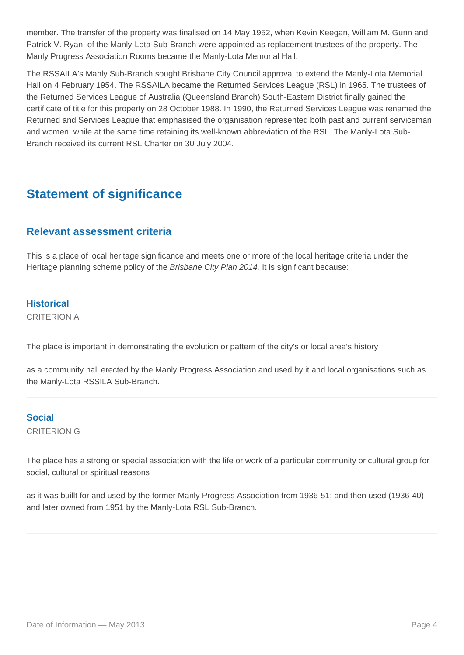member. The transfer of the property was finalised on 14 May 1952, when Kevin Keegan, William M. Gunn and Patrick V. Ryan, of the Manly-Lota Sub-Branch were appointed as replacement trustees of the property. The Manly Progress Association Rooms became the Manly-Lota Memorial Hall.

The RSSAILA's Manly Sub-Branch sought Brisbane City Council approval to extend the Manly-Lota Memorial Hall on 4 February 1954. The RSSAILA became the Returned Services League (RSL) in 1965. The trustees of the Returned Services League of Australia (Queensland Branch) South-Eastern District finally gained the certificate of title for this property on 28 October 1988. In 1990, the Returned Services League was renamed the Returned and Services League that emphasised the organisation represented both past and current serviceman and women; while at the same time retaining its well-known abbreviation of the RSL. The Manly-Lota Sub-Branch received its current RSL Charter on 30 July 2004.

## **Statement of significance**

#### **Relevant assessment criteria**

This is a place of local heritage significance and meets one or more of the local heritage criteria under the Heritage planning scheme policy of the Brisbane City Plan 2014. It is significant because:

#### **Historical**

CRITERION A

The place is important in demonstrating the evolution or pattern of the city's or local area's history

as a community hall erected by the Manly Progress Association and used by it and local organisations such as the Manly-Lota RSSILA Sub-Branch.

### **Social**

CRITERION G

The place has a strong or special association with the life or work of a particular community or cultural group for social, cultural or spiritual reasons

as it was buillt for and used by the former Manly Progress Association from 1936-51; and then used (1936-40) and later owned from 1951 by the Manly-Lota RSL Sub-Branch.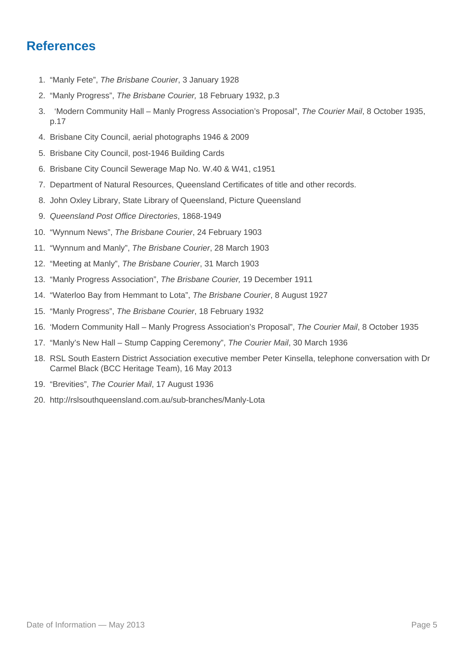### **References**

- 1. "Manly Fete", The Brisbane Courier, 3 January 1928
- 2. "Manly Progress", The Brisbane Courier, 18 February 1932, p.3
- 3. 'Modern Community Hall Manly Progress Association's Proposal", The Courier Mail, 8 October 1935, p.17
- 4. Brisbane City Council, aerial photographs 1946 & 2009
- 5. Brisbane City Council, post-1946 Building Cards
- 6. Brisbane City Council Sewerage Map No. W.40 & W41, c1951
- 7. Department of Natural Resources, Queensland Certificates of title and other records.
- 8. John Oxley Library, State Library of Queensland, Picture Queensland
- 9. Queensland Post Office Directories, 1868-1949
- 10. "Wynnum News", The Brisbane Courier, 24 February 1903
- 11. "Wynnum and Manly", The Brisbane Courier, 28 March 1903
- 12. "Meeting at Manly", The Brisbane Courier, 31 March 1903
- 13. "Manly Progress Association", The Brisbane Courier, 19 December 1911
- 14. "Waterloo Bay from Hemmant to Lota", The Brisbane Courier, 8 August 1927
- 15. "Manly Progress", The Brisbane Courier, 18 February 1932
- 16. 'Modern Community Hall Manly Progress Association's Proposal", The Courier Mail, 8 October 1935
- 17. "Manly's New Hall Stump Capping Ceremony", The Courier Mail, 30 March 1936
- 18. RSL South Eastern District Association executive member Peter Kinsella, telephone conversation with Dr Carmel Black (BCC Heritage Team), 16 May 2013
- 19. "Brevities", The Courier Mail, 17 August 1936
- 20. http://rslsouthqueensland.com.au/sub-branches/Manly-Lota